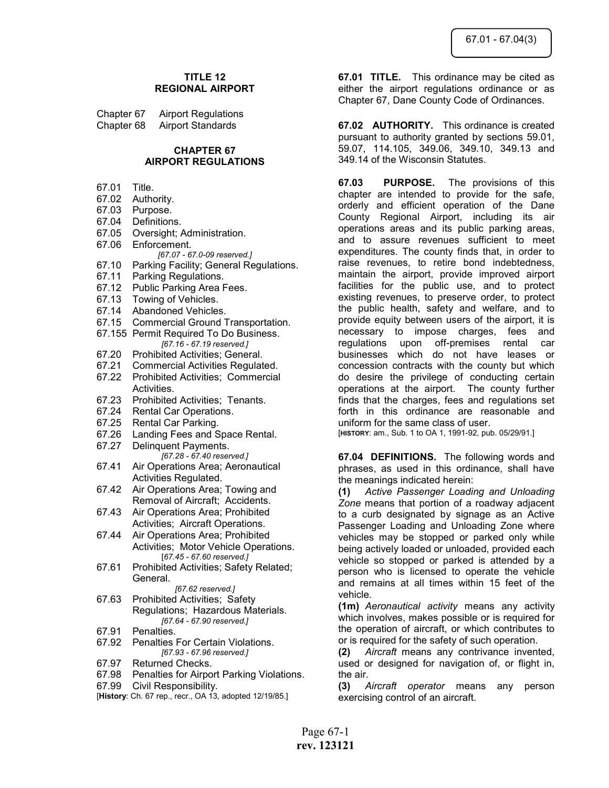## TITLE 12 REGIONAL AIRPORT

| Chapter 67 | <b>Airport Regulations</b> |
|------------|----------------------------|
| Chapter 68 | <b>Airport Standards</b>   |

#### CHAPTER 67 AIRPORT REGULATIONS

- 67.01 Title.
- 67.02 Authority.
- 67.03 Purpose.
- 67.04 Definitions.
- 67.05 Oversight; Administration.
- 67.06 Enforcement. [67.07 - 67.0-09 reserved.]
- 67.10 Parking Facility; General Regulations.
- 67.11 Parking Regulations.
- 67.12 Public Parking Area Fees.
- 67.13 Towing of Vehicles.
- 67.14 Abandoned Vehicles.
- 67.15 Commercial Ground Transportation.
- 67.155 Permit Required To Do Business. [67.16 - 67.19 reserved.]
- 67.20 Prohibited Activities; General.
- 67.21 Commercial Activities Regulated.
- 67.22 Prohibited Activities; Commercial Activities.
- 67.23 Prohibited Activities; Tenants.
- 67.24 Rental Car Operations.
- 67.25 Rental Car Parking.
- 67.26 Landing Fees and Space Rental.
- 67.27 Delinquent Payments. [67.28 - 67.40 reserved.]
- 67.41 Air Operations Area; Aeronautical Activities Regulated.
- 67.42 Air Operations Area; Towing and Removal of Aircraft; Accidents.
- 67.43 Air Operations Area; Prohibited Activities; Aircraft Operations.
- 67.44 Air Operations Area; Prohibited Activities; Motor Vehicle Operations. [67.45 - 67.60 reserved.]
- 67.61 Prohibited Activities; Safety Related; General.

#### [67.62 reserved.]

- 67.63 Prohibited Activities; Safety Regulations; Hazardous Materials. [67.64 - 67.90 reserved.]
- 67.91 Penalties.
- 67.92 Penalties For Certain Violations. [67.93 - 67.96 reserved.]
- 67.97 Returned Checks.
- 67.98 Penalties for Airport Parking Violations.
- 67.99 Civil Responsibility.
- [History: Ch. 67 rep., recr., OA 13, adopted 12/19/85.]

**67.01 TITLE.** This ordinance may be cited as either the airport regulations ordinance or as Chapter 67, Dane County Code of Ordinances.

**67.02 AUTHORITY.** This ordinance is created pursuant to authority granted by sections 59.01, 59.07, 114.105, 349.06, 349.10, 349.13 and 349.14 of the Wisconsin Statutes.

67.03 PURPOSE. The provisions of this chapter are intended to provide for the safe, orderly and efficient operation of the Dane County Regional Airport, including its air operations areas and its public parking areas, and to assure revenues sufficient to meet expenditures. The county finds that, in order to raise revenues, to retire bond indebtedness, maintain the airport, provide improved airport facilities for the public use, and to protect existing revenues, to preserve order, to protect the public health, safety and welfare, and to provide equity between users of the airport, it is necessary to impose charges, fees and regulations upon off-premises rental car businesses which do not have leases or concession contracts with the county but which do desire the privilege of conducting certain operations at the airport. The county further finds that the charges, fees and regulations set forth in this ordinance are reasonable and uniform for the same class of user. [HISTORY: am., Sub. 1 to OA 1, 1991-92, pub. 05/29/91.]

67.04 DEFINITIONS. The following words and phrases, as used in this ordinance, shall have

the meanings indicated herein: (1) Active Passenger Loading and Unloading Zone means that portion of a roadway adjacent to a curb designated by signage as an Active Passenger Loading and Unloading Zone where vehicles may be stopped or parked only while being actively loaded or unloaded, provided each vehicle so stopped or parked is attended by a person who is licensed to operate the vehicle and remains at all times within 15 feet of the vehicle.

(1m) Aeronautical activity means any activity which involves, makes possible or is required for the operation of aircraft, or which contributes to or is required for the safety of such operation.

(2) Aircraft means any contrivance invented, used or designed for navigation of, or flight in, the air.

(3) Aircraft operator means any person exercising control of an aircraft.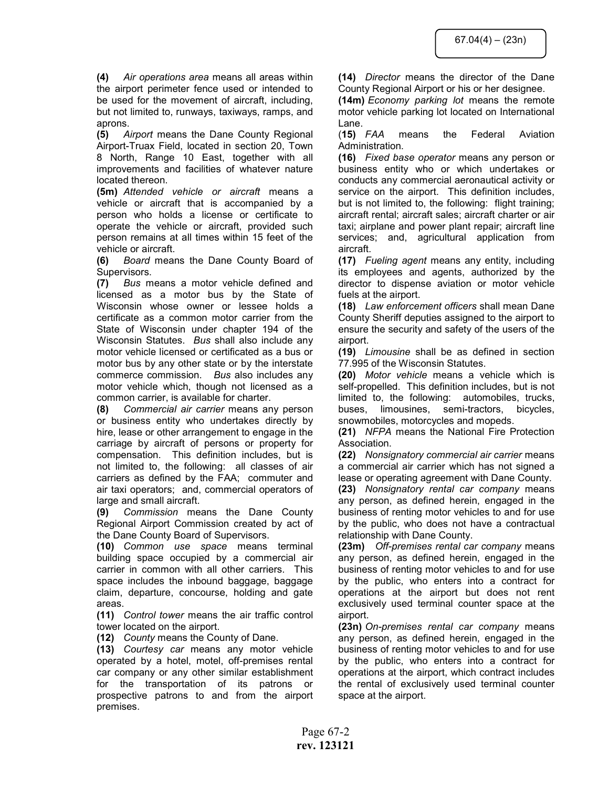(4) Air operations area means all areas within the airport perimeter fence used or intended to be used for the movement of aircraft, including, but not limited to, runways, taxiways, ramps, and aprons.

(5) Airport means the Dane County Regional Airport-Truax Field, located in section 20, Town 8 North, Range 10 East, together with all improvements and facilities of whatever nature located thereon.

(5m) Attended vehicle or aircraft means a vehicle or aircraft that is accompanied by a person who holds a license or certificate to operate the vehicle or aircraft, provided such person remains at all times within 15 feet of the vehicle or aircraft.

(6) Board means the Dane County Board of Supervisors.

(7) Bus means a motor vehicle defined and licensed as a motor bus by the State of Wisconsin whose owner or lessee holds a certificate as a common motor carrier from the State of Wisconsin under chapter 194 of the Wisconsin Statutes. Bus shall also include any motor vehicle licensed or certificated as a bus or motor bus by any other state or by the interstate commerce commission. Bus also includes any motor vehicle which, though not licensed as a common carrier, is available for charter.

(8) Commercial air carrier means any person or business entity who undertakes directly by hire, lease or other arrangement to engage in the carriage by aircraft of persons or property for compensation. This definition includes, but is not limited to, the following: all classes of air carriers as defined by the FAA; commuter and air taxi operators; and, commercial operators of large and small aircraft.

(9) Commission means the Dane County Regional Airport Commission created by act of the Dane County Board of Supervisors.

(10) Common use space means terminal building space occupied by a commercial air carrier in common with all other carriers. This space includes the inbound baggage, baggage claim, departure, concourse, holding and gate areas.

(11) Control tower means the air traffic control tower located on the airport.

(12) County means the County of Dane.

(13) Courtesy car means any motor vehicle operated by a hotel, motel, off-premises rental car company or any other similar establishment for the transportation of its patrons or prospective patrons to and from the airport premises.

(14) Director means the director of the Dane County Regional Airport or his or her designee.

(14m) Economy parking lot means the remote motor vehicle parking lot located on International Lane.

(15) FAA means the Federal Aviation Administration.

(16) Fixed base operator means any person or business entity who or which undertakes or conducts any commercial aeronautical activity or service on the airport. This definition includes, but is not limited to, the following: flight training; aircraft rental; aircraft sales; aircraft charter or air taxi; airplane and power plant repair; aircraft line services; and, agricultural application from aircraft.

(17) Fueling agent means any entity, including its employees and agents, authorized by the director to dispense aviation or motor vehicle fuels at the airport.

(18) Law enforcement officers shall mean Dane County Sheriff deputies assigned to the airport to ensure the security and safety of the users of the airport.

(19) Limousine shall be as defined in section 77.995 of the Wisconsin Statutes.

(20) Motor vehicle means a vehicle which is self-propelled. This definition includes, but is not limited to, the following: automobiles, trucks, buses, limousines, semi-tractors, bicycles, snowmobiles, motorcycles and mopeds.

(21) NFPA means the National Fire Protection Association.

(22) Nonsignatory commercial air carrier means a commercial air carrier which has not signed a lease or operating agreement with Dane County.

(23) Nonsignatory rental car company means any person, as defined herein, engaged in the business of renting motor vehicles to and for use by the public, who does not have a contractual relationship with Dane County.

(23m) Off-premises rental car company means any person, as defined herein, engaged in the business of renting motor vehicles to and for use by the public, who enters into a contract for operations at the airport but does not rent exclusively used terminal counter space at the airport.

(23n) On-premises rental car company means any person, as defined herein, engaged in the business of renting motor vehicles to and for use by the public, who enters into a contract for operations at the airport, which contract includes the rental of exclusively used terminal counter space at the airport.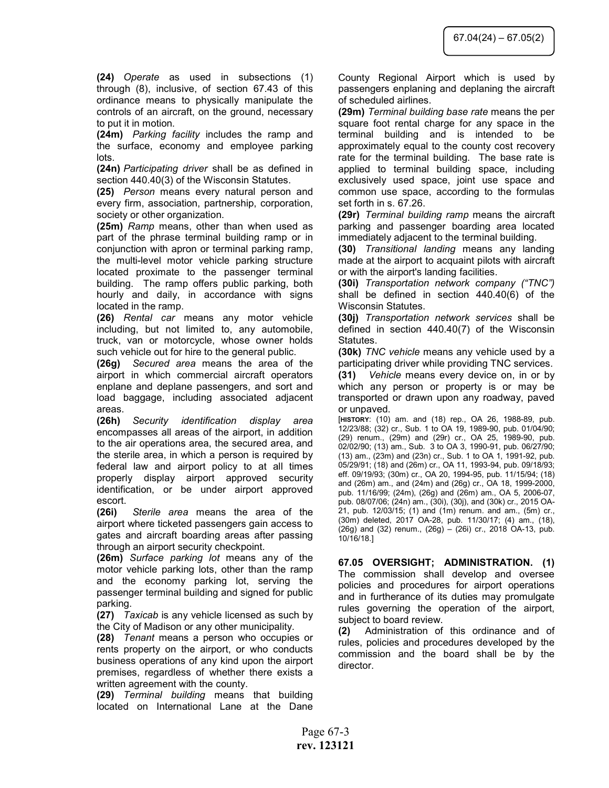(24) Operate as used in subsections (1) through (8), inclusive, of section 67.43 of this ordinance means to physically manipulate the controls of an aircraft, on the ground, necessary to put it in motion.

(24m) Parking facility includes the ramp and the surface, economy and employee parking lots.

(24n) Participating driver shall be as defined in section 440.40(3) of the Wisconsin Statutes.

(25) Person means every natural person and every firm, association, partnership, corporation, society or other organization.

(25m) Ramp means, other than when used as part of the phrase terminal building ramp or in conjunction with apron or terminal parking ramp, the multi-level motor vehicle parking structure located proximate to the passenger terminal building. The ramp offers public parking, both hourly and daily, in accordance with signs located in the ramp.

(26) Rental car means any motor vehicle including, but not limited to, any automobile, truck, van or motorcycle, whose owner holds such vehicle out for hire to the general public.

(26g) Secured area means the area of the airport in which commercial aircraft operators enplane and deplane passengers, and sort and load baggage, including associated adjacent areas.

(26h) Security identification display area encompasses all areas of the airport, in addition to the air operations area, the secured area, and the sterile area, in which a person is required by federal law and airport policy to at all times properly display airport approved security identification, or be under airport approved escort.

(26i) Sterile area means the area of the airport where ticketed passengers gain access to gates and aircraft boarding areas after passing through an airport security checkpoint.

(26m) Surface parking lot means any of the motor vehicle parking lots, other than the ramp and the economy parking lot, serving the passenger terminal building and signed for public parking.

(27) Taxicab is any vehicle licensed as such by the City of Madison or any other municipality.

(28) Tenant means a person who occupies or rents property on the airport, or who conducts business operations of any kind upon the airport premises, regardless of whether there exists a written agreement with the county.

(29) Terminal building means that building located on International Lane at the Dane County Regional Airport which is used by passengers enplaning and deplaning the aircraft of scheduled airlines.

(29m) Terminal building base rate means the per square foot rental charge for any space in the terminal building and is intended to be approximately equal to the county cost recovery rate for the terminal building. The base rate is applied to terminal building space, including exclusively used space, joint use space and common use space, according to the formulas set forth in s. 67.26.

(29r) Terminal building ramp means the aircraft parking and passenger boarding area located immediately adjacent to the terminal building.

(30) Transitional landing means any landing made at the airport to acquaint pilots with aircraft or with the airport's landing facilities.

(30i) Transportation network company ("TNC") shall be defined in section 440.40(6) of the Wisconsin Statutes.

(30j) Transportation network services shall be defined in section 440.40(7) of the Wisconsin Statutes.

(30k) TNC vehicle means any vehicle used by a participating driver while providing TNC services.

(31) Vehicle means every device on, in or by which any person or property is or may be transported or drawn upon any roadway, paved or unpaved.

[HISTORY: (10) am. and (18) rep., OA 26, 1988-89, pub. 12/23/88; (32) cr., Sub. 1 to OA 19, 1989-90, pub. 01/04/90; (29) renum., (29m) and (29r) cr., OA 25, 1989-90, pub. 02/02/90; (13) am., Sub. 3 to OA 3, 1990-91, pub. 06/27/90; (13) am., (23m) and (23n) cr., Sub. 1 to OA 1, 1991-92, pub. 05/29/91; (18) and (26m) cr., OA 11, 1993-94, pub. 09/18/93; eff. 09/19/93; (30m) cr., OA 20, 1994-95, pub. 11/15/94; (18) and (26m) am., and (24m) and (26g) cr., OA 18, 1999-2000, pub. 11/16/99; (24m), (26g) and (26m) am., OA 5, 2006-07, pub. 08/07/06; (24n) am., (30i), (30j), and (30k) cr., 2015 OA-21, pub. 12/03/15; (1) and (1m) renum. and am., (5m) cr., (30m) deleted, 2017 OA-28, pub. 11/30/17; (4) am., (18), (26g) and (32) renum., (26g) – (26i) cr., 2018 OA-13, pub. 10/16/18.]

67.05 OVERSIGHT; ADMINISTRATION. (1) The commission shall develop and oversee policies and procedures for airport operations and in furtherance of its duties may promulgate rules governing the operation of the airport, subject to board review.

(2) Administration of this ordinance and of rules, policies and procedures developed by the commission and the board shall be by the director.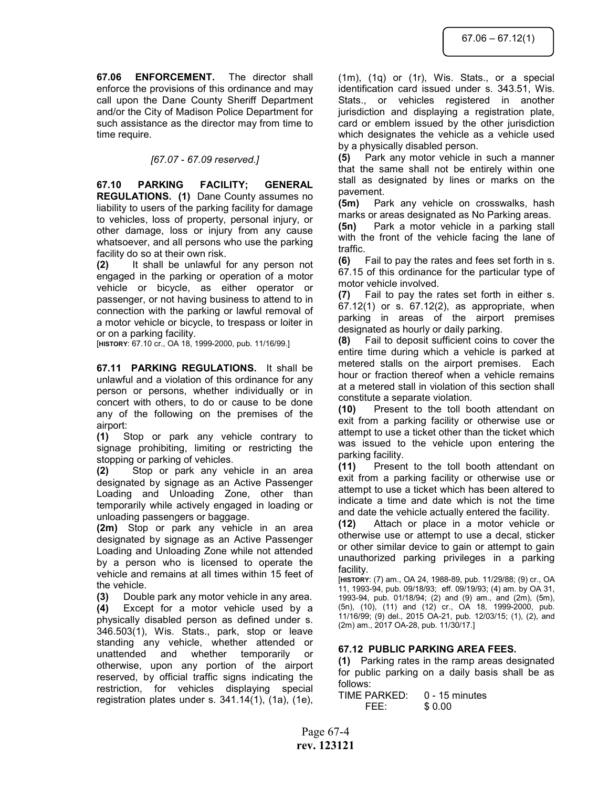67.06 ENFORCEMENT. The director shall enforce the provisions of this ordinance and may call upon the Dane County Sheriff Department and/or the City of Madison Police Department for such assistance as the director may from time to time require.

## [67.07 - 67.09 reserved.]

67.10 PARKING FACILITY; GENERAL REGULATIONS. (1) Dane County assumes no liability to users of the parking facility for damage to vehicles, loss of property, personal injury, or other damage, loss or injury from any cause whatsoever, and all persons who use the parking facility do so at their own risk.

(2) It shall be unlawful for any person not engaged in the parking or operation of a motor vehicle or bicycle, as either operator or passenger, or not having business to attend to in connection with the parking or lawful removal of a motor vehicle or bicycle, to trespass or loiter in or on a parking facility.

[HISTORY: 67.10 cr., OA 18, 1999-2000, pub. 11/16/99.]

67.11 PARKING REGULATIONS. It shall be unlawful and a violation of this ordinance for any person or persons, whether individually or in concert with others, to do or cause to be done any of the following on the premises of the airport:

(1) Stop or park any vehicle contrary to signage prohibiting, limiting or restricting the stopping or parking of vehicles.

(2) Stop or park any vehicle in an area designated by signage as an Active Passenger Loading and Unloading Zone, other than temporarily while actively engaged in loading or unloading passengers or baggage.

(2m) Stop or park any vehicle in an area designated by signage as an Active Passenger Loading and Unloading Zone while not attended by a person who is licensed to operate the vehicle and remains at all times within 15 feet of the vehicle.

(3) Double park any motor vehicle in any area.

(4) Except for a motor vehicle used by a physically disabled person as defined under s. 346.503(1), Wis. Stats., park, stop or leave standing any vehicle, whether attended or unattended and whether temporarily or otherwise, upon any portion of the airport reserved, by official traffic signs indicating the restriction, for vehicles displaying special registration plates under s. 341.14(1), (1a), (1e), (1m), (1q) or (1r), Wis. Stats., or a special identification card issued under s. 343.51, Wis. Stats., or vehicles registered in another jurisdiction and displaying a registration plate, card or emblem issued by the other jurisdiction which designates the vehicle as a vehicle used by a physically disabled person.

(5) Park any motor vehicle in such a manner that the same shall not be entirely within one stall as designated by lines or marks on the pavement.

(5m) Park any vehicle on crosswalks, hash marks or areas designated as No Parking areas.

(5n) Park a motor vehicle in a parking stall with the front of the vehicle facing the lane of traffic.

(6) Fail to pay the rates and fees set forth in s. 67.15 of this ordinance for the particular type of motor vehicle involved.

(7) Fail to pay the rates set forth in either s. 67.12(1) or s. 67.12(2), as appropriate, when parking in areas of the airport premises designated as hourly or daily parking.

(8) Fail to deposit sufficient coins to cover the entire time during which a vehicle is parked at metered stalls on the airport premises. Each hour or fraction thereof when a vehicle remains at a metered stall in violation of this section shall constitute a separate violation.

(10) Present to the toll booth attendant on exit from a parking facility or otherwise use or attempt to use a ticket other than the ticket which was issued to the vehicle upon entering the parking facility.

(11) Present to the toll booth attendant on exit from a parking facility or otherwise use or attempt to use a ticket which has been altered to indicate a time and date which is not the time and date the vehicle actually entered the facility.

(12) Attach or place in a motor vehicle or otherwise use or attempt to use a decal, sticker or other similar device to gain or attempt to gain unauthorized parking privileges in a parking facility.

[HISTORY: (7) am., OA 24, 1988-89, pub. 11/29/88; (9) cr., OA 11, 1993-94, pub. 09/18/93; eff. 09/19/93; (4) am. by OA 31, 1993-94, pub. 01/18/94; (2) and (9) am., and (2m), (5m), (5n), (10), (11) and (12) cr., OA 18, 1999-2000, pub. 11/16/99; (9) del., 2015 OA-21, pub. 12/03/15; (1), (2), and (2m) am., 2017 OA-28, pub. 11/30/17.]

## 67.12 PUBLIC PARKING AREA FEES.

(1) Parking rates in the ramp areas designated for public parking on a daily basis shall be as follows:

TIME PARKED: 0 - 15 minutes FEE: \$ 0.00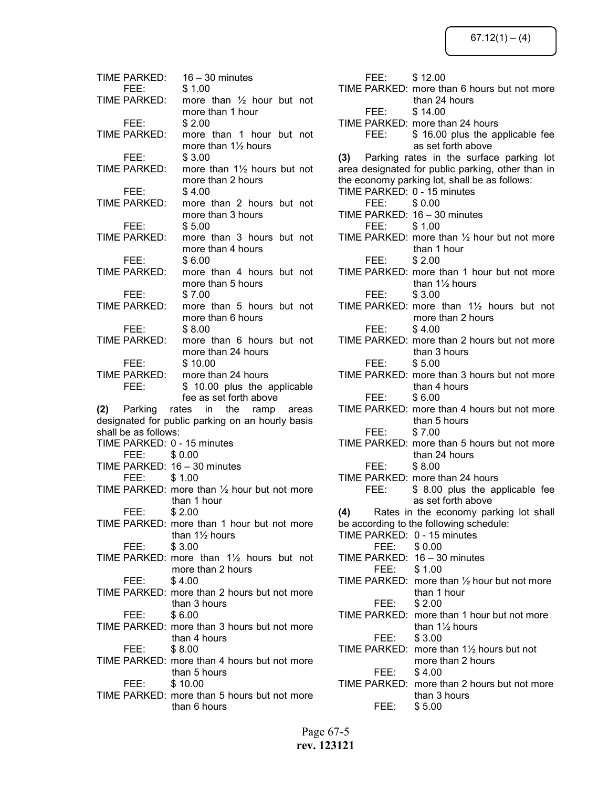| TIME PARKED:         | $16 - 30$ minutes                                              |
|----------------------|----------------------------------------------------------------|
| FEE:<br>TIME PARKED: | \$1.00<br>more than $\frac{1}{2}$ hour but not                 |
| FEE:                 | more than 1 hour<br>\$2.00                                     |
| TIME PARKED:         | more than 1 hour but not                                       |
| FEE:                 | more than 11/2 hours<br>\$3.00                                 |
| TIME PARKED:         | more than 11/2 hours but not                                   |
|                      | more than 2 hours                                              |
| FEE:                 | \$4.00                                                         |
| TIME PARKED:         | more than 2 hours but not                                      |
|                      | more than 3 hours                                              |
| FEE:<br>TIME PARKED: | \$5.00<br>more than 3 hours but not                            |
|                      | more than 4 hours                                              |
| FEE:                 | \$6.00                                                         |
| TIME PARKED:         | more than 4 hours but not                                      |
|                      | more than 5 hours                                              |
| FEE:                 | \$7.00                                                         |
| <b>TIME PARKED:</b>  | more than 5 hours but not                                      |
|                      | more than 6 hours                                              |
| FEE:                 | \$8.00                                                         |
| TIME PARKED:         | more than 6 hours but not                                      |
|                      | more than 24 hours                                             |
| FEE:                 | \$10.00                                                        |
| FEE:                 | TIME PARKED: more than 24 hours                                |
|                      |                                                                |
|                      | \$ 10.00 plus the applicable                                   |
|                      | fee as set forth above                                         |
|                      | (2) Parking rates in the ramp areas                            |
|                      | designated for public parking on an hourly basis               |
| shall be as follows: | TIME PARKED: 0 - 15 minutes                                    |
| FEE: \$0.00          |                                                                |
|                      | TIME PARKED: 16 - 30 minutes                                   |
| FEE:                 | \$1.00                                                         |
|                      | TIME PARKED: more than 1/2 hour but not more                   |
|                      | than 1 hour                                                    |
| FFF <sup>.</sup>     | \$2.00                                                         |
|                      | TIME PARKED: more than 1 hour but not more                     |
|                      | than $1\frac{1}{2}$ hours                                      |
| FEE: T               | \$3.00                                                         |
|                      | TIME PARKED: more than 11/2 hours but not<br>more than 2 hours |
| FEE: 1               | \$4.00                                                         |
|                      | TIME PARKED: more than 2 hours but not more                    |
|                      | than 3 hours                                                   |
| FEE:                 | \$6.00                                                         |
|                      | TIME PARKED: more than 3 hours but not more                    |
|                      | than 4 hours                                                   |
| FEE:                 | \$8.00                                                         |
|                      | TIME PARKED: more than 4 hours but not more                    |
|                      | than 5 hours                                                   |
| FEE: T               | \$10.00<br>TIME PARKED: more than 5 hours but not more         |

| FEE:        | \$12.00                                                |
|-------------|--------------------------------------------------------|
|             | TIME PARKED: more than 6 hours but not more            |
|             | than 24 hours                                          |
| FEE:        | \$14.00                                                |
|             | TIME PARKED: more than 24 hours                        |
| FEE:        | \$ 16.00 plus the applicable fee                       |
|             | as set forth above                                     |
|             | (3) Parking rates in the surface parking lot           |
|             | area designated for public parking, other than in      |
|             | the economy parking lot, shall be as follows:          |
|             | TIME PARKED: 0 - 15 minutes                            |
| FEE:        | \$0.00                                                 |
|             | TIME PARKED: 16 - 30 minutes                           |
|             |                                                        |
| FEE: \$1.00 |                                                        |
|             | TIME PARKED: more than $\frac{1}{2}$ hour but not more |
|             | than 1 hour                                            |
| FEE:        | \$2.00                                                 |
|             | TIME PARKED: more than 1 hour but not more             |
|             | than 1½ hours                                          |
| FEE:        | \$3.00                                                 |
|             | TIME PARKED: more than 11/2 hours but not              |
|             | more than 2 hours                                      |
| FEE:        | \$4.00                                                 |
|             | TIME PARKED: more than 2 hours but not more            |
|             | than 3 hours                                           |
| FEE:        | \$5.00                                                 |
|             | TIME PARKED: more than 3 hours but not more            |
|             | than 4 hours                                           |
| FEE:        | \$6.00                                                 |
|             | TIME PARKED: more than 4 hours but not more            |
|             | than 5 hours                                           |
| FEE:        | \$7.00                                                 |
|             | TIME PARKED: more than 5 hours but not more            |
|             | than 24 hours                                          |
| FEE:        | \$8.00                                                 |
|             | TIME PARKED: more than 24 hours                        |
| FEE:        | \$ 8.00 plus the applicable fee                        |
|             | as set forth above                                     |
|             | (4) Rates in the economy parking lot shall             |
|             |                                                        |
|             | be according to the following schedule:                |
|             | TIME PARKED: 0 - 15 minutes                            |
| FEE: \$0.00 |                                                        |
|             | TIME PARKED: 16 - 30 minutes                           |
| FEE:        | \$1.00                                                 |
|             | TIME PARKED: more than $\frac{1}{2}$ hour but not more |
|             | than 1 hour                                            |
| FEE:        | \$2.00                                                 |
|             | TIME PARKED: more than 1 hour but not more             |
|             | than 11/2 hours                                        |
| FEE:        | \$3.00                                                 |
|             | TIME PARKED: more than $1\frac{1}{2}$ hours but not    |
|             | more than 2 hours                                      |
| FEE:        | \$4.00                                                 |
|             | TIME PARKED: more than 2 hours but not more            |
|             | than 3 hours                                           |
| FEE:        | \$5.00                                                 |
|             |                                                        |

Page 67-5 rev. 123121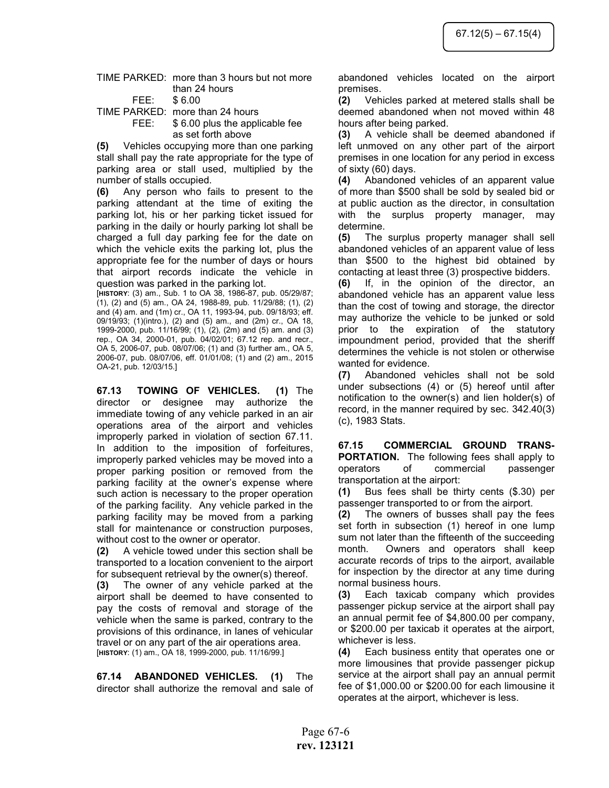#### TIME PARKED: more than 3 hours but not more than 24 hours FEE: \$ 6.00

TIME PARKED: more than 24 hours

 FEE: \$ 6.00 plus the applicable fee as set forth above

(5) Vehicles occupying more than one parking stall shall pay the rate appropriate for the type of parking area or stall used, multiplied by the number of stalls occupied.

(6) Any person who fails to present to the parking attendant at the time of exiting the parking lot, his or her parking ticket issued for parking in the daily or hourly parking lot shall be charged a full day parking fee for the date on which the vehicle exits the parking lot, plus the appropriate fee for the number of days or hours that airport records indicate the vehicle in question was parked in the parking lot.

[HISTORY: (3) am., Sub. 1 to OA 38, 1986-87, pub. 05/29/87; (1), (2) and (5) am., OA 24, 1988-89, pub. 11/29/88; (1), (2) and (4) am. and (1m) cr., OA 11, 1993-94, pub. 09/18/93; eff. 09/19/93; (1)(intro.), (2) and (5) am., and (2m) cr., OA 18, 1999-2000, pub. 11/16/99; (1), (2), (2m) and (5) am. and (3) rep., OA 34, 2000-01, pub. 04/02/01; 67.12 rep. and recr., OA 5, 2006-07, pub. 08/07/06; (1) and (3) further am., OA 5, 2006-07, pub. 08/07/06, eff. 01/01/08; (1) and (2) am., 2015 OA-21, pub. 12/03/15.]

67.13 TOWING OF VEHICLES. (1) The director or designee may authorize the immediate towing of any vehicle parked in an air operations area of the airport and vehicles improperly parked in violation of section 67.11. In addition to the imposition of forfeitures, improperly parked vehicles may be moved into a proper parking position or removed from the parking facility at the owner's expense where such action is necessary to the proper operation of the parking facility. Any vehicle parked in the parking facility may be moved from a parking stall for maintenance or construction purposes, without cost to the owner or operator.

(2) A vehicle towed under this section shall be transported to a location convenient to the airport for subsequent retrieval by the owner(s) thereof.

(3) The owner of any vehicle parked at the airport shall be deemed to have consented to pay the costs of removal and storage of the vehicle when the same is parked, contrary to the provisions of this ordinance, in lanes of vehicular travel or on any part of the air operations area. [HISTORY: (1) am., OA 18, 1999-2000, pub. 11/16/99.]

67.14 ABANDONED VEHICLES. (1) The director shall authorize the removal and sale of abandoned vehicles located on the airport premises.

(2) Vehicles parked at metered stalls shall be deemed abandoned when not moved within 48 hours after being parked.

(3) A vehicle shall be deemed abandoned if left unmoved on any other part of the airport premises in one location for any period in excess of sixty (60) days.

(4) Abandoned vehicles of an apparent value of more than \$500 shall be sold by sealed bid or at public auction as the director, in consultation with the surplus property manager, may determine.

(5) The surplus property manager shall sell abandoned vehicles of an apparent value of less than \$500 to the highest bid obtained by contacting at least three (3) prospective bidders.

(6) If, in the opinion of the director, an abandoned vehicle has an apparent value less than the cost of towing and storage, the director may authorize the vehicle to be junked or sold prior to the expiration of the statutory impoundment period, provided that the sheriff determines the vehicle is not stolen or otherwise wanted for evidence.

(7) Abandoned vehicles shall not be sold under subsections (4) or (5) hereof until after notification to the owner(s) and lien holder(s) of record, in the manner required by sec. 342.40(3) (c), 1983 Stats.

67.15 COMMERCIAL GROUND TRANS-PORTATION. The following fees shall apply to operators of commercial passenger transportation at the airport:

(1) Bus fees shall be thirty cents (\$.30) per passenger transported to or from the airport.

(2) The owners of busses shall pay the fees set forth in subsection (1) hereof in one lump sum not later than the fifteenth of the succeeding month. Owners and operators shall keep accurate records of trips to the airport, available for inspection by the director at any time during normal business hours.

(3) Each taxicab company which provides passenger pickup service at the airport shall pay an annual permit fee of \$4,800.00 per company, or \$200.00 per taxicab it operates at the airport, whichever is less.

(4) Each business entity that operates one or more limousines that provide passenger pickup service at the airport shall pay an annual permit fee of \$1,000.00 or \$200.00 for each limousine it operates at the airport, whichever is less.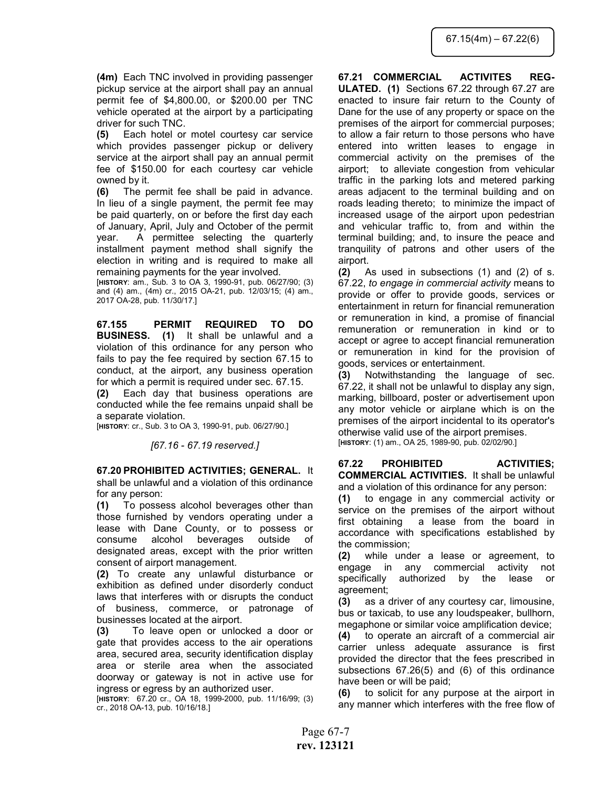(4m) Each TNC involved in providing passenger pickup service at the airport shall pay an annual permit fee of \$4,800.00, or \$200.00 per TNC vehicle operated at the airport by a participating driver for such TNC.

(5) Each hotel or motel courtesy car service which provides passenger pickup or delivery service at the airport shall pay an annual permit fee of \$150.00 for each courtesy car vehicle owned by it.

(6) The permit fee shall be paid in advance. In lieu of a single payment, the permit fee may be paid quarterly, on or before the first day each of January, April, July and October of the permit year. A permittee selecting the quarterly installment payment method shall signify the election in writing and is required to make all remaining payments for the year involved.

[HISTORY: am., Sub. 3 to OA 3, 1990-91, pub. 06/27/90; (3) and (4) am., (4m) cr., 2015 OA-21, pub. 12/03/15; (4) am., 2017 OA-28, pub. 11/30/17.]

67.155 PERMIT REQUIRED TO DO BUSINESS. (1) It shall be unlawful and a violation of this ordinance for any person who fails to pay the fee required by section 67.15 to conduct, at the airport, any business operation for which a permit is required under sec. 67.15.

(2) Each day that business operations are conducted while the fee remains unpaid shall be a separate violation.

[HISTORY: cr., Sub. 3 to OA 3, 1990-91, pub. 06/27/90.]

[67.16 - 67.19 reserved.]

67.20 PROHIBITED ACTIVITIES; GENERAL. It shall be unlawful and a violation of this ordinance for any person:

(1) To possess alcohol beverages other than those furnished by vendors operating under a lease with Dane County, or to possess or consume alcohol beverages outside of designated areas, except with the prior written consent of airport management.

(2) To create any unlawful disturbance or exhibition as defined under disorderly conduct laws that interferes with or disrupts the conduct of business, commerce, or patronage of businesses located at the airport.

(3) To leave open or unlocked a door or gate that provides access to the air operations area, secured area, security identification display area or sterile area when the associated doorway or gateway is not in active use for ingress or egress by an authorized user.

[HISTORY: 67.20 cr., OA 18, 1999-2000, pub. 11/16/99; (3) cr., 2018 OA-13, pub. 10/16/18.]

67.21 COMMERCIAL ACTIVITES REG-ULATED. (1) Sections 67.22 through 67.27 are enacted to insure fair return to the County of Dane for the use of any property or space on the premises of the airport for commercial purposes; to allow a fair return to those persons who have entered into written leases to engage in commercial activity on the premises of the airport; to alleviate congestion from vehicular traffic in the parking lots and metered parking areas adjacent to the terminal building and on roads leading thereto; to minimize the impact of increased usage of the airport upon pedestrian and vehicular traffic to, from and within the terminal building; and, to insure the peace and tranquility of patrons and other users of the airport.

(2) As used in subsections (1) and (2) of s. 67.22, to engage in commercial activity means to provide or offer to provide goods, services or entertainment in return for financial remuneration or remuneration in kind, a promise of financial remuneration or remuneration in kind or to accept or agree to accept financial remuneration or remuneration in kind for the provision of goods, services or entertainment.

(3) Notwithstanding the language of sec. 67.22, it shall not be unlawful to display any sign, marking, billboard, poster or advertisement upon any motor vehicle or airplane which is on the premises of the airport incidental to its operator's otherwise valid use of the airport premises. [HISTORY: (1) am., OA 25, 1989-90, pub. 02/02/90.]

67.22 PROHIBITED ACTIVITIES; COMMERCIAL ACTIVITIES. It shall be unlawful and a violation of this ordinance for any person:

(1) to engage in any commercial activity or service on the premises of the airport without first obtaining a lease from the board in accordance with specifications established by the commission;

(2) while under a lease or agreement, to engage in any commercial activity not specifically authorized by the lease or agreement;

(3) as a driver of any courtesy car, limousine, bus or taxicab, to use any loudspeaker, bullhorn, megaphone or similar voice amplification device;

(4) to operate an aircraft of a commercial air carrier unless adequate assurance is first provided the director that the fees prescribed in subsections 67.26(5) and (6) of this ordinance have been or will be paid;

(6) to solicit for any purpose at the airport in any manner which interferes with the free flow of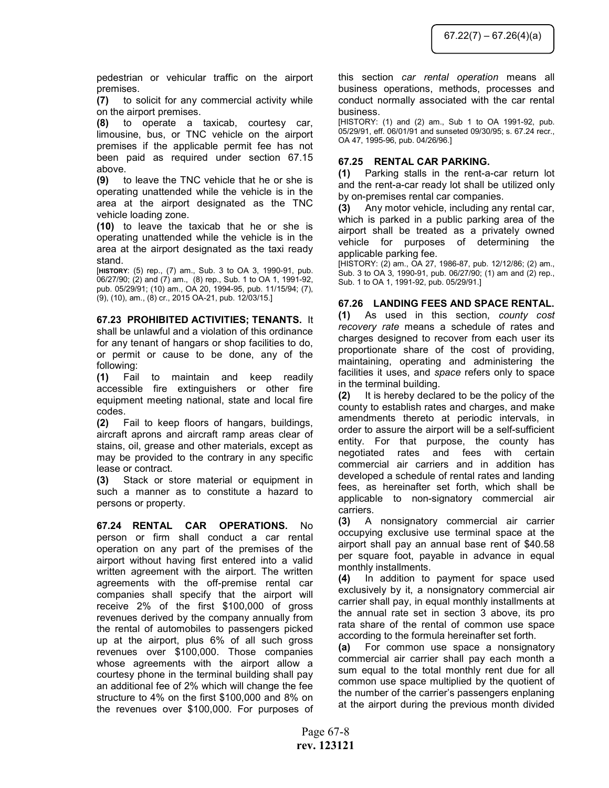pedestrian or vehicular traffic on the airport premises.

(7) to solicit for any commercial activity while on the airport premises.

(8) to operate a taxicab, courtesy car, limousine, bus, or TNC vehicle on the airport premises if the applicable permit fee has not been paid as required under section 67.15 above.

(9) to leave the TNC vehicle that he or she is operating unattended while the vehicle is in the area at the airport designated as the TNC vehicle loading zone.

(10) to leave the taxicab that he or she is operating unattended while the vehicle is in the area at the airport designated as the taxi ready stand.

[HISTORY: (5) rep., (7) am., Sub. 3 to OA 3, 1990-91, pub. 06/27/90; (2) and (7) am., (8) rep., Sub. 1 to OA 1, 1991-92, pub. 05/29/91; (10) am., OA 20, 1994-95, pub. 11/15/94; (7), (9), (10), am., (8) cr., 2015 OA-21, pub. 12/03/15.]

# 67.23 PROHIBITED ACTIVITIES; TENANTS. It

shall be unlawful and a violation of this ordinance for any tenant of hangars or shop facilities to do, or permit or cause to be done, any of the following:

(1) Fail to maintain and keep readily accessible fire extinguishers or other fire equipment meeting national, state and local fire codes.

(2) Fail to keep floors of hangars, buildings, aircraft aprons and aircraft ramp areas clear of stains, oil, grease and other materials, except as may be provided to the contrary in any specific lease or contract.

(3) Stack or store material or equipment in such a manner as to constitute a hazard to persons or property.

67.24 RENTAL CAR OPERATIONS. No person or firm shall conduct a car rental operation on any part of the premises of the airport without having first entered into a valid written agreement with the airport. The written agreements with the off-premise rental car companies shall specify that the airport will receive 2% of the first \$100,000 of gross revenues derived by the company annually from the rental of automobiles to passengers picked up at the airport, plus 6% of all such gross revenues over \$100,000. Those companies whose agreements with the airport allow a courtesy phone in the terminal building shall pay an additional fee of 2% which will change the fee structure to 4% on the first \$100,000 and 8% on the revenues over \$100,000. For purposes of this section car rental operation means all business operations, methods, processes and conduct normally associated with the car rental business.

[HISTORY: (1) and (2) am., Sub 1 to OA 1991-92, pub. 05/29/91, eff. 06/01/91 and sunseted 09/30/95; s. 67.24 recr., OA 47, 1995-96, pub. 04/26/96.]

## 67.25 RENTAL CAR PARKING.

(1) Parking stalls in the rent-a-car return lot and the rent-a-car ready lot shall be utilized only by on-premises rental car companies.

(3) Any motor vehicle, including any rental car, which is parked in a public parking area of the airport shall be treated as a privately owned vehicle for purposes of determining the applicable parking fee.

[HISTORY: (2) am., OA 27, 1986-87, pub. 12/12/86; (2) am., Sub. 3 to OA 3, 1990-91, pub. 06/27/90; (1) am and (2) rep., Sub. 1 to OA 1, 1991-92, pub. 05/29/91.]

## 67.26 LANDING FEES AND SPACE RENTAL.

(1) As used in this section, county cost recovery rate means a schedule of rates and charges designed to recover from each user its proportionate share of the cost of providing, maintaining, operating and administering the facilities it uses, and space refers only to space in the terminal building.

(2) It is hereby declared to be the policy of the county to establish rates and charges, and make amendments thereto at periodic intervals, in order to assure the airport will be a self-sufficient entity. For that purpose, the county has negotiated rates and fees with certain commercial air carriers and in addition has developed a schedule of rental rates and landing fees, as hereinafter set forth, which shall be applicable to non-signatory commercial air carriers.

(3) A nonsignatory commercial air carrier occupying exclusive use terminal space at the airport shall pay an annual base rent of \$40.58 per square foot, payable in advance in equal monthly installments.

(4) In addition to payment for space used exclusively by it, a nonsignatory commercial air carrier shall pay, in equal monthly installments at the annual rate set in section 3 above, its pro rata share of the rental of common use space according to the formula hereinafter set forth.

(a) For common use space a nonsignatory commercial air carrier shall pay each month a sum equal to the total monthly rent due for all common use space multiplied by the quotient of the number of the carrier's passengers enplaning at the airport during the previous month divided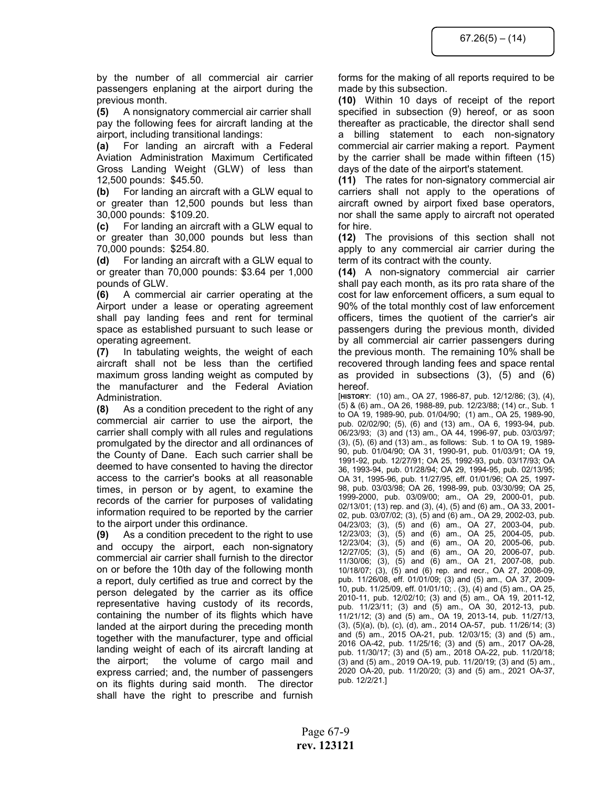by the number of all commercial air carrier passengers enplaning at the airport during the previous month.

(5) A nonsignatory commercial air carrier shall pay the following fees for aircraft landing at the airport, including transitional landings:

(a) For landing an aircraft with a Federal Aviation Administration Maximum Certificated Gross Landing Weight (GLW) of less than 12,500 pounds: \$45.50.

(b) For landing an aircraft with a GLW equal to or greater than 12,500 pounds but less than 30,000 pounds: \$109.20.

(c) For landing an aircraft with a GLW equal to or greater than 30,000 pounds but less than 70,000 pounds: \$254.80.

(d) For landing an aircraft with a GLW equal to or greater than 70,000 pounds: \$3.64 per 1,000 pounds of GLW.

(6) A commercial air carrier operating at the Airport under a lease or operating agreement shall pay landing fees and rent for terminal space as established pursuant to such lease or operating agreement.

(7) In tabulating weights, the weight of each aircraft shall not be less than the certified maximum gross landing weight as computed by the manufacturer and the Federal Aviation Administration.

(8) As a condition precedent to the right of any commercial air carrier to use the airport, the carrier shall comply with all rules and regulations promulgated by the director and all ordinances of the County of Dane. Each such carrier shall be deemed to have consented to having the director access to the carrier's books at all reasonable times, in person or by agent, to examine the records of the carrier for purposes of validating information required to be reported by the carrier to the airport under this ordinance.

(9) As a condition precedent to the right to use and occupy the airport, each non-signatory commercial air carrier shall furnish to the director on or before the 10th day of the following month a report, duly certified as true and correct by the person delegated by the carrier as its office representative having custody of its records, containing the number of its flights which have landed at the airport during the preceding month together with the manufacturer, type and official landing weight of each of its aircraft landing at the airport; the volume of cargo mail and express carried; and, the number of passengers on its flights during said month. The director shall have the right to prescribe and furnish forms for the making of all reports required to be made by this subsection.

(10) Within 10 days of receipt of the report specified in subsection (9) hereof, or as soon thereafter as practicable, the director shall send a billing statement to each non-signatory commercial air carrier making a report. Payment by the carrier shall be made within fifteen (15) days of the date of the airport's statement.

(11) The rates for non-signatory commercial air carriers shall not apply to the operations of aircraft owned by airport fixed base operators, nor shall the same apply to aircraft not operated for hire.

(12) The provisions of this section shall not apply to any commercial air carrier during the term of its contract with the county.

(14) A non-signatory commercial air carrier shall pay each month, as its pro rata share of the cost for law enforcement officers, a sum equal to 90% of the total monthly cost of law enforcement officers, times the quotient of the carrier's air passengers during the previous month, divided by all commercial air carrier passengers during the previous month. The remaining 10% shall be recovered through landing fees and space rental as provided in subsections (3), (5) and (6) hereof.

[HISTORY: (10) am., OA 27, 1986-87, pub. 12/12/86; (3), (4), (5) & (6) am., OA 26, 1988-89, pub. 12/23/88; (14) cr., Sub. 1 to OA 19, 1989-90, pub. 01/04/90; (1) am., OA 25, 1989-90, pub. 02/02/90; (5), (6) and (13) am., OA 6, 1993-94, pub. 06/23/93; (3) and (13) am., OA 44, 1996-97, pub. 03/03/97; (3), (5), (6) and (13) am., as follows: Sub. 1 to OA 19, 1989- 90, pub. 01/04/90; OA 31, 1990-91, pub. 01/03/91; OA 19, 1991-92, pub. 12/27/91; OA 25, 1992-93, pub. 03/17/93; OA 36, 1993-94, pub. 01/28/94; OA 29, 1994-95, pub. 02/13/95; OA 31, 1995-96, pub. 11/27/95, eff. 01/01/96; OA 25, 1997- 98, pub. 03/03/98; OA 26, 1998-99, pub. 03/30/99; OA 25, 1999-2000, pub. 03/09/00; am., OA 29, 2000-01, pub. 02/13/01; (13) rep. and (3), (4), (5) and (6) am., OA 33, 2001- 02, pub. 03/07/02; (3), (5) and (6) am., OA 29, 2002-03, pub. 04/23/03; (3), (5) and (6) am., OA 27, 2003-04, pub. 12/23/03; (3), (5) and (6) am., OA 25, 2004-05, pub. 12/23/04; (3), (5) and (6) am., OA 20, 2005-06, pub. 12/27/05; (3), (5) and (6) am., OA 20, 2006-07, pub. 11/30/06; (3), (5) and (6) am., OA 21, 2007-08, pub. 10/18/07; (3), (5) and (6) rep. and recr., OA 27, 2008-09, pub. 11/26/08, eff. 01/01/09; (3) and (5) am., OA 37, 2009- 10, pub. 11/25/09, eff. 01/01/10; . (3), (4) and (5) am., OA 25, 2010-11, pub. 12/02/10; (3) and (5) am., OA 19, 2011-12, pub. 11/23/11; (3) and (5) am., OA 30, 2012-13, pub. 11/21/12; (3) and (5) am., OA 19, 2013-14, pub. 11/27/13, (3), (5)(a), (b), (c), (d), am., 2014 OA-57, pub. 11/26/14; (3) and (5) am., 2015 OA-21, pub. 12/03/15; (3) and (5) am., 2016 OA-42, pub. 11/25/16; (3) and (5) am., 2017 OA-28, pub. 11/30/17; (3) and (5) am., 2018 OA-22, pub. 11/20/18; (3) and (5) am., 2019 OA-19, pub. 11/20/19; (3) and (5) am., 2020 OA-20, pub. 11/20/20; (3) and (5) am., 2021 OA-37, pub. 12/2/21.]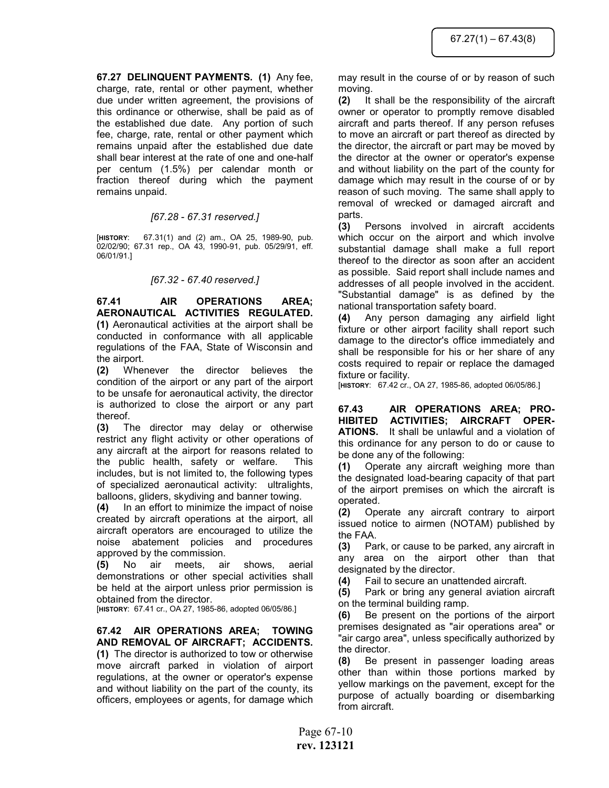67.27 DELINQUENT PAYMENTS. (1) Any fee, charge, rate, rental or other payment, whether due under written agreement, the provisions of this ordinance or otherwise, shall be paid as of the established due date. Any portion of such fee, charge, rate, rental or other payment which remains unpaid after the established due date shall bear interest at the rate of one and one-half per centum (1.5%) per calendar month or fraction thereof during which the payment remains unpaid.

## [67.28 - 67.31 reserved.]

[HISTORY: 67.31(1) and (2) am., OA 25, 1989-90, pub. 02/02/90; 67.31 rep., OA 43, 1990-91, pub. 05/29/91, eff. 06/01/91.]

## [67.32 - 67.40 reserved.]

67.41 AIR OPERATIONS AREA; AERONAUTICAL ACTIVITIES REGULATED. (1) Aeronautical activities at the airport shall be conducted in conformance with all applicable regulations of the FAA, State of Wisconsin and the airport.

(2) Whenever the director believes the condition of the airport or any part of the airport to be unsafe for aeronautical activity, the director is authorized to close the airport or any part thereof.

(3) The director may delay or otherwise restrict any flight activity or other operations of any aircraft at the airport for reasons related to the public health, safety or welfare. This includes, but is not limited to, the following types of specialized aeronautical activity: ultralights, balloons, gliders, skydiving and banner towing.

(4) In an effort to minimize the impact of noise created by aircraft operations at the airport, all aircraft operators are encouraged to utilize the noise abatement policies and procedures approved by the commission.

(5) No air meets, air shows, aerial demonstrations or other special activities shall be held at the airport unless prior permission is obtained from the director.

[HISTORY: 67.41 cr., OA 27, 1985-86, adopted 06/05/86.]

67.42 AIR OPERATIONS AREA; TOWING AND REMOVAL OF AIRCRAFT; ACCIDENTS. (1) The director is authorized to tow or otherwise move aircraft parked in violation of airport regulations, at the owner or operator's expense

and without liability on the part of the county, its officers, employees or agents, for damage which may result in the course of or by reason of such moving.

(2) It shall be the responsibility of the aircraft owner or operator to promptly remove disabled aircraft and parts thereof. If any person refuses to move an aircraft or part thereof as directed by the director, the aircraft or part may be moved by the director at the owner or operator's expense and without liability on the part of the county for damage which may result in the course of or by reason of such moving. The same shall apply to removal of wrecked or damaged aircraft and parts.

(3) Persons involved in aircraft accidents which occur on the airport and which involve substantial damage shall make a full report thereof to the director as soon after an accident as possible. Said report shall include names and addresses of all people involved in the accident. "Substantial damage" is as defined by the national transportation safety board.

(4) Any person damaging any airfield light fixture or other airport facility shall report such damage to the director's office immediately and shall be responsible for his or her share of any costs required to repair or replace the damaged fixture or facility.

[HISTORY: 67.42 cr., OA 27, 1985-86, adopted 06/05/86.]

67.43 AIR OPERATIONS AREA; PRO-HIBITED ACTIVITIES; AIRCRAFT OPER-ATIONS. It shall be unlawful and a violation of this ordinance for any person to do or cause to be done any of the following:

(1) Operate any aircraft weighing more than the designated load-bearing capacity of that part of the airport premises on which the aircraft is operated.

(2) Operate any aircraft contrary to airport issued notice to airmen (NOTAM) published by the FAA.

(3) Park, or cause to be parked, any aircraft in any area on the airport other than that designated by the director.

(4) Fail to secure an unattended aircraft.

(5) Park or bring any general aviation aircraft on the terminal building ramp.

(6) Be present on the portions of the airport premises designated as "air operations area" or "air cargo area", unless specifically authorized by the director.

(8) Be present in passenger loading areas other than within those portions marked by yellow markings on the pavement, except for the purpose of actually boarding or disembarking from aircraft.

Page 67-10 rev. 123121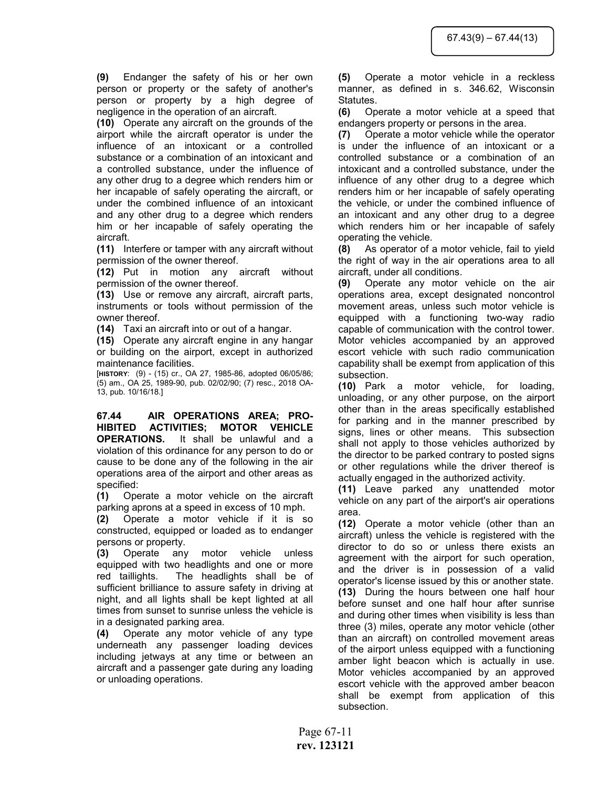(9) Endanger the safety of his or her own person or property or the safety of another's person or property by a high degree of negligence in the operation of an aircraft.

(10) Operate any aircraft on the grounds of the airport while the aircraft operator is under the influence of an intoxicant or a controlled substance or a combination of an intoxicant and a controlled substance, under the influence of any other drug to a degree which renders him or her incapable of safely operating the aircraft, or under the combined influence of an intoxicant and any other drug to a degree which renders him or her incapable of safely operating the aircraft.

(11) Interfere or tamper with any aircraft without permission of the owner thereof.

(12) Put in motion any aircraft without permission of the owner thereof.

(13) Use or remove any aircraft, aircraft parts, instruments or tools without permission of the owner thereof.

(14) Taxi an aircraft into or out of a hangar.

(15) Operate any aircraft engine in any hangar or building on the airport, except in authorized maintenance facilities.

[HISTORY: (9) - (15) cr., OA 27, 1985-86, adopted 06/05/86; (5) am., OA 25, 1989-90, pub. 02/02/90; (7) resc., 2018 OA-13, pub. 10/16/18.]

67.44 AIR OPERATIONS AREA; PRO-HIBITED ACTIVITIES; MOTOR VEHICLE OPERATIONS. It shall be unlawful and a violation of this ordinance for any person to do or cause to be done any of the following in the air operations area of the airport and other areas as specified:

(1) Operate a motor vehicle on the aircraft parking aprons at a speed in excess of 10 mph.

(2) Operate a motor vehicle if it is so constructed, equipped or loaded as to endanger persons or property.

(3) Operate any motor vehicle unless equipped with two headlights and one or more red taillights. The headlights shall be of sufficient brilliance to assure safety in driving at night, and all lights shall be kept lighted at all times from sunset to sunrise unless the vehicle is in a designated parking area.

(4) Operate any motor vehicle of any type underneath any passenger loading devices including jetways at any time or between an aircraft and a passenger gate during any loading or unloading operations.

(5) Operate a motor vehicle in a reckless manner, as defined in s. 346.62, Wisconsin Statutes.

(6) Operate a motor vehicle at a speed that endangers property or persons in the area.

(7) Operate a motor vehicle while the operator is under the influence of an intoxicant or a controlled substance or a combination of an intoxicant and a controlled substance, under the influence of any other drug to a degree which renders him or her incapable of safely operating the vehicle, or under the combined influence of an intoxicant and any other drug to a degree which renders him or her incapable of safely operating the vehicle.

(8) As operator of a motor vehicle, fail to yield the right of way in the air operations area to all aircraft, under all conditions.

(9) Operate any motor vehicle on the air operations area, except designated noncontrol movement areas, unless such motor vehicle is equipped with a functioning two-way radio capable of communication with the control tower. Motor vehicles accompanied by an approved escort vehicle with such radio communication capability shall be exempt from application of this subsection.

(10) Park a motor vehicle, for loading, unloading, or any other purpose, on the airport other than in the areas specifically established for parking and in the manner prescribed by signs, lines or other means. This subsection shall not apply to those vehicles authorized by the director to be parked contrary to posted signs or other regulations while the driver thereof is actually engaged in the authorized activity.

(11) Leave parked any unattended motor vehicle on any part of the airport's air operations area.

(12) Operate a motor vehicle (other than an aircraft) unless the vehicle is registered with the director to do so or unless there exists an agreement with the airport for such operation, and the driver is in possession of a valid operator's license issued by this or another state. (13) During the hours between one half hour before sunset and one half hour after sunrise and during other times when visibility is less than three (3) miles, operate any motor vehicle (other than an aircraft) on controlled movement areas of the airport unless equipped with a functioning amber light beacon which is actually in use. Motor vehicles accompanied by an approved escort vehicle with the approved amber beacon shall be exempt from application of this subsection.

Page 67-11 rev. 123121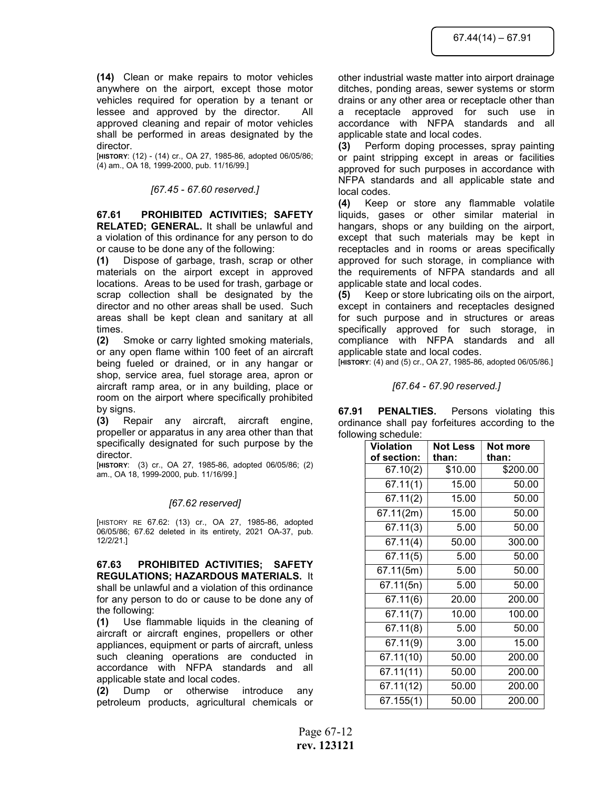(14) Clean or make repairs to motor vehicles anywhere on the airport, except those motor vehicles required for operation by a tenant or lessee and approved by the director. All approved cleaning and repair of motor vehicles shall be performed in areas designated by the director.

[HISTORY: (12) - (14) cr., OA 27, 1985-86, adopted 06/05/86; (4) am., OA 18, 1999-2000, pub. 11/16/99.]

#### [67.45 - 67.60 reserved.]

67.61 PROHIBITED ACTIVITIES; SAFETY RELATED; GENERAL. It shall be unlawful and a violation of this ordinance for any person to do or cause to be done any of the following:

(1) Dispose of garbage, trash, scrap or other materials on the airport except in approved locations. Areas to be used for trash, garbage or scrap collection shall be designated by the director and no other areas shall be used. Such areas shall be kept clean and sanitary at all times.

(2) Smoke or carry lighted smoking materials, or any open flame within 100 feet of an aircraft being fueled or drained, or in any hangar or shop, service area, fuel storage area, apron or aircraft ramp area, or in any building, place or room on the airport where specifically prohibited by signs.

(3) Repair any aircraft, aircraft engine, propeller or apparatus in any area other than that specifically designated for such purpose by the director.

[HISTORY: (3) cr., OA 27, 1985-86, adopted 06/05/86; (2) am., OA 18, 1999-2000, pub. 11/16/99.]

## [67.62 reserved]

[HISTORY RE 67.62: (13) cr., OA 27, 1985-86, adopted 06/05/86; 67.62 deleted in its entirety, 2021 OA-37, pub. 12/2/21.]

67.63 PROHIBITED ACTIVITIES; SAFETY REGULATIONS; HAZARDOUS MATERIALS. It shall be unlawful and a violation of this ordinance for any person to do or cause to be done any of the following:

(1) Use flammable liquids in the cleaning of aircraft or aircraft engines, propellers or other appliances, equipment or parts of aircraft, unless such cleaning operations are conducted in accordance with NFPA standards and all applicable state and local codes.

(2) Dump or otherwise introduce any petroleum products, agricultural chemicals or other industrial waste matter into airport drainage ditches, ponding areas, sewer systems or storm drains or any other area or receptacle other than a receptacle approved for such use in accordance with NFPA standards and all

applicable state and local codes. (3) Perform doping processes, spray painting or paint stripping except in areas or facilities approved for such purposes in accordance with NFPA standards and all applicable state and local codes.

(4) Keep or store any flammable volatile liquids, gases or other similar material in hangars, shops or any building on the airport, except that such materials may be kept in receptacles and in rooms or areas specifically approved for such storage, in compliance with the requirements of NFPA standards and all applicable state and local codes.

(5) Keep or store lubricating oils on the airport, except in containers and receptacles designed for such purpose and in structures or areas specifically approved for such storage, in compliance with NFPA standards and all applicable state and local codes.

[HISTORY: (4) and (5) cr., OA 27, 1985-86, adopted 06/05/86.]

[67.64 - 67.90 reserved.]

67.91 PENALTIES. Persons violating this ordinance shall pay forfeitures according to the following schedule:

| <b>Violation</b> | <b>Not Less</b> | Not more |
|------------------|-----------------|----------|
| of section:      | than:           | than:    |
| 67.10(2)         | \$10.00         | \$200.00 |
| 67.11(1)         | 15.00           | 50.00    |
| 67.11(2)         | 15.00           | 50.00    |
| 67.11(2m)        | 15.00           | 50.00    |
| 67.11(3)         | 5.00            | 50.00    |
| 67.11(4)         | 50.00           | 300.00   |
| 67.11(5)         | 5.00            | 50.00    |
| 67.11(5m)        | 5.00            | 50.00    |
| 67.11(5n)        | 5.00            | 50.00    |
| 67.11(6)         | 20.00           | 200.00   |
| 67.11(7)         | 10.00           | 100.00   |
| 67.11(8)         | 5.00            | 50.00    |
| 67.11(9)         | 3.00            | 15.00    |
| 67.11(10)        | 50.00           | 200.00   |
| 67.11(11)        | 50.00           | 200.00   |
| 67.11(12)        | 50.00           | 200.00   |
| 67.155(1)        | 50.00           | 200.00   |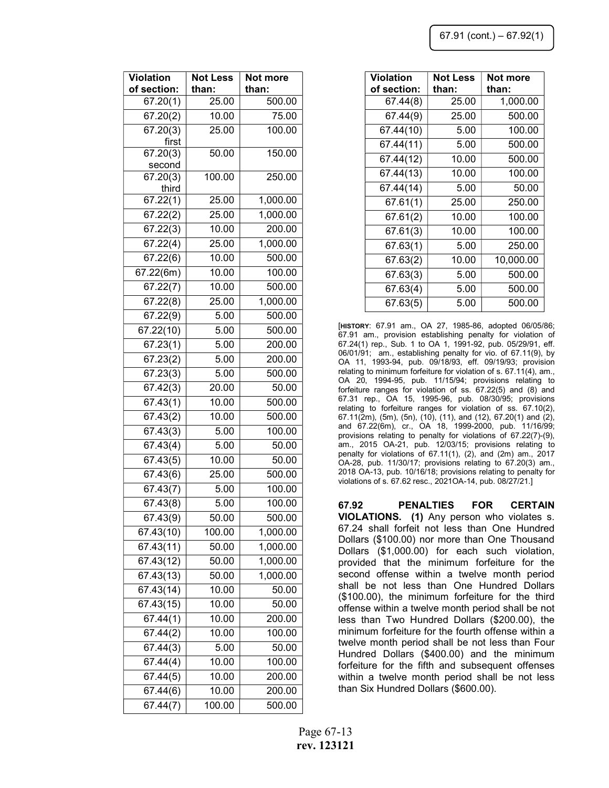| <b>Violation</b> | <b>Not Less</b> | Not more  |
|------------------|-----------------|-----------|
| of section:      | than:           | than:     |
| 67.44(8)         | 25.00           | 1,000.00  |
| 67.44(9)         | 25.00           | 500.00    |
| 67.44(10)        | 5.00            | 100.00    |
| 67.44(11)        | 5.00            | 500.00    |
| 67.44(12)        | 10.00           | 500.00    |
| 67.44(13)        | 10.00           | 100.00    |
| 67.44(14)        | 5.00            | 50.00     |
| 67.61(1)         | 25.00           | 250.00    |
| 67.61(2)         | 10.00           | 100.00    |
| 67.61(3)         | 10.00           | 100.00    |
| 67.63(1)         | 5.00            | 250.00    |
| 67.63(2)         | 10.00           | 10,000.00 |
| 67.63(3)         | 5.00            | 500.00    |
| 67.63(4)         | 5.00            | 500.00    |
| 67.63(5)         | 5.00            | 500.00    |

[HISTORY: 67.91 am., OA 27, 1985-86, adopted 06/05/86; 67.91 am., provision establishing penalty for violation of 67.24(1) rep., Sub. 1 to OA 1, 1991-92, pub. 05/29/91, eff. 06/01/91; am., establishing penalty for vio. of 67.11(9), by OA 11, 1993-94, pub. 09/18/93, eff. 09/19/93; provision relating to minimum forfeiture for violation of s. 67.11(4), am., OA 20, 1994-95, pub. 11/15/94; provisions relating to forfeiture ranges for violation of ss. 67.22(5) and (8) and 67.31 rep., OA 15, 1995-96, pub. 08/30/95; provisions relating to forfeiture ranges for violation of ss. 67.10(2), 67.11(2m), (5m), (5n), (10), (11), and (12), 67.20(1) and (2), and 67.22(6m), cr., OA 18, 1999-2000, pub. 11/16/99; provisions relating to penalty for violations of 67.22(7)-(9), am., 2015 OA-21, pub. 12/03/15; provisions relating to penalty for violations of 67.11(1), (2), and (2m) am., 2017 OA-28, pub. 11/30/17; provisions relating to 67.20(3) am., 2018 OA-13, pub. 10/16/18; provisions relating to penalty for violations of s. 67.62 resc., 2021OA-14, pub. 08/27/21.]

67.92 PENALTIES FOR CERTAIN VIOLATIONS. (1) Any person who violates s. 67.24 shall forfeit not less than One Hundred Dollars (\$100.00) nor more than One Thousand Dollars (\$1,000.00) for each such violation, provided that the minimum forfeiture for the second offense within a twelve month period shall be not less than One Hundred Dollars (\$100.00), the minimum forfeiture for the third offense within a twelve month period shall be not less than Two Hundred Dollars (\$200.00), the minimum forfeiture for the fourth offense within a twelve month period shall be not less than Four Hundred Dollars (\$400.00) and the minimum forfeiture for the fifth and subsequent offenses within a twelve month period shall be not less than Six Hundred Dollars (\$600.00).

| <b>Violation</b>       | <b>Not Less</b>  | Not more              |
|------------------------|------------------|-----------------------|
| of section:            | than:            | than:                 |
| 67.20(1)               | 25.00            | 500.00                |
| 67.20(2)               | 10.00            | 75.00                 |
| 67.20(3)               | 25.00            | 100.00                |
| first                  |                  |                       |
| 67.20(3)               | 50.00            | 150.00                |
| second<br>67.20(3)     | 100.00           | 250.00                |
| third                  |                  |                       |
| $\overline{67.2}$ 2(1) | 25.00            | $\overline{1,000.00}$ |
| $\overline{6}$ 7.22(2) | 25.00            | 1,000.00              |
| 67.22(3)               | 10.00            | 200.00                |
| 67.22(4)               | 25.00            | 1,000.00              |
| $\overline{6}$ 7.22(6) | 10.00            | 500.00                |
| 67.22(6m)              | 10.00            | 100.00                |
| 67.22(7)               | 10.00            | 500.00                |
| 67.22(8)               | 25.00            | 1,000.00              |
| 67.22(9)               | 5.00             | 500.00                |
| 67.22(10)              | 5.00             | 500.00                |
| 67.23(1)               | 5.00             | 200.00                |
| 67.23(2)               | 5.00             | 200.00                |
| $\overline{6}$ 7.23(3) | 5.00             | 500.00                |
| 67.42(3)               | 20.00            | 50.00                 |
| 67.43(1)               | 10.00            | 500.00                |
| 67.43(2)               | 10.00            | 500.00                |
| $\sqrt{67.43(3)}$      | 5.00             | 100.00                |
| 67.43(4)               | 5.00             | 50.00                 |
| 67.43(5)               | 10.00            | 50.00                 |
| 67.43(6)               | 25.00            | 500.00                |
| 67.43(7)               | $\frac{1}{5.00}$ | 100.00                |
| 67.43(8)               | 5.00             | 100.00                |
| 67.43(9)               | 50.00            | 500.00                |
| 67.43(10)              | 100.00           | 1,000.00              |
| 67.43(11)              | 50.00            | 1,000.00              |
| $\overline{67.43(12)}$ | 50.00            | 1,000.00              |
| 67.43(13)              | 50.00            | 1,000.00              |
| 67.43(14)              | 10.00            | 50.00                 |
| 67.43(15)              | 10.00            | 50.00                 |
| 67.44(1)               | 10.00            | 200.00                |
| 67.44(2)               | 10.00            | 100.00                |
| 67.44(3)               | 5.00             | 50.00                 |
| 67.44(4)               | 10.00            | 100.00                |
| 67.44(5)               | 10.00            | 200.00                |
| 67.44(6)               | 10.00            | 200.00                |
| $\overline{67}.44(7)$  | 100.00           | 500.00                |